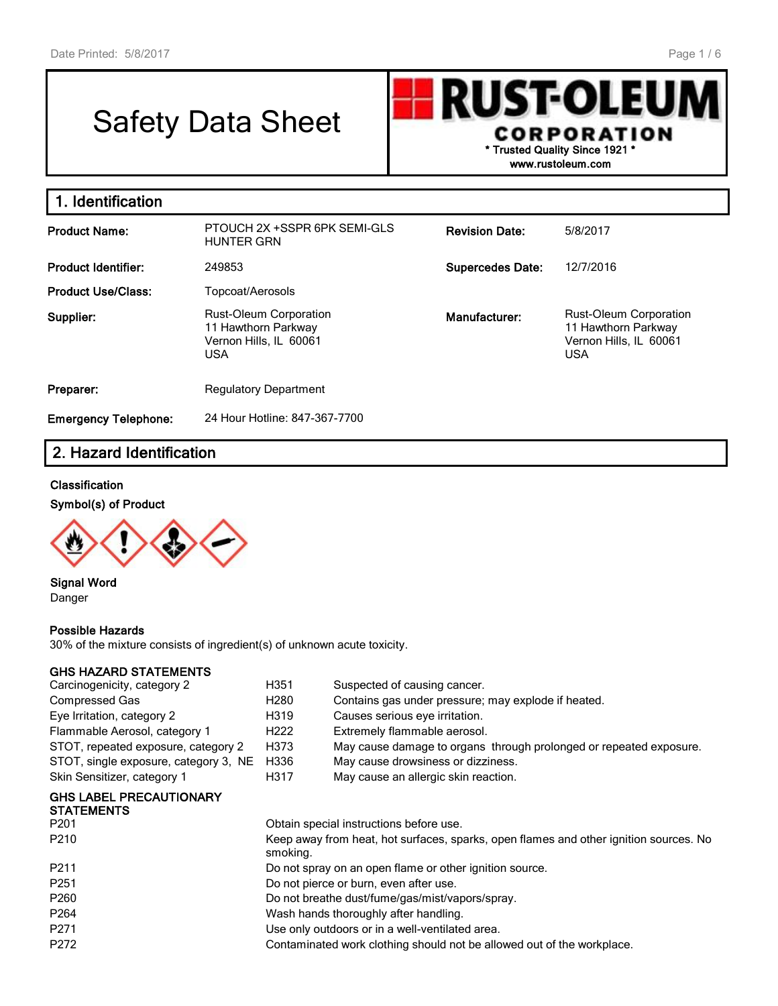# Safety Data Sheet

**RUST-OLEU** I **CORPORATION \* Trusted Quality Since 1921 \***

**www.rustoleum.com**

| 1. Identification           |                                                                                       |                         |                                                                                       |
|-----------------------------|---------------------------------------------------------------------------------------|-------------------------|---------------------------------------------------------------------------------------|
| <b>Product Name:</b>        | PTOUCH 2X +SSPR 6PK SEMI-GLS<br><b>HUNTER GRN</b>                                     | <b>Revision Date:</b>   | 5/8/2017                                                                              |
| <b>Product Identifier:</b>  | 249853                                                                                | <b>Supercedes Date:</b> | 12/7/2016                                                                             |
| <b>Product Use/Class:</b>   | Topcoat/Aerosols                                                                      |                         |                                                                                       |
| Supplier:                   | Rust-Oleum Corporation<br>11 Hawthorn Parkway<br>Vernon Hills, IL 60061<br><b>USA</b> | Manufacturer:           | Rust-Oleum Corporation<br>11 Hawthorn Parkway<br>Vernon Hills, IL 60061<br><b>USA</b> |
| Preparer:                   | <b>Regulatory Department</b>                                                          |                         |                                                                                       |
| <b>Emergency Telephone:</b> | 24 Hour Hotline: 847-367-7700                                                         |                         |                                                                                       |

# **2. Hazard Identification**

### **Classification**

### **Symbol(s) of Product**



**Signal Word** Danger

#### **Possible Hazards**

30% of the mixture consists of ingredient(s) of unknown acute toxicity.

## **GHS HAZARD STATEMENTS**

| Carcinogenicity, category 2                                             | H351                                            | Suspected of causing cancer.                                                          |  |  |  |
|-------------------------------------------------------------------------|-------------------------------------------------|---------------------------------------------------------------------------------------|--|--|--|
| Compressed Gas                                                          | H280                                            | Contains gas under pressure; may explode if heated.                                   |  |  |  |
| Eye Irritation, category 2                                              | H319                                            | Causes serious eye irritation.                                                        |  |  |  |
| Flammable Aerosol, category 1                                           | H222                                            | Extremely flammable aerosol.                                                          |  |  |  |
| STOT, repeated exposure, category 2                                     | H373                                            | May cause damage to organs through prolonged or repeated exposure.                    |  |  |  |
| STOT, single exposure, category 3, NE                                   | H336                                            | May cause drowsiness or dizziness.                                                    |  |  |  |
| Skin Sensitizer, category 1                                             | H317                                            | May cause an allergic skin reaction.                                                  |  |  |  |
| <b>GHS LABEL PRECAUTIONARY</b><br><b>STATEMENTS</b><br>P <sub>201</sub> |                                                 | Obtain special instructions before use.                                               |  |  |  |
| P210                                                                    | smoking.                                        | Keep away from heat, hot surfaces, sparks, open flames and other ignition sources. No |  |  |  |
| P <sub>211</sub>                                                        |                                                 | Do not spray on an open flame or other ignition source.                               |  |  |  |
| P <sub>251</sub>                                                        |                                                 | Do not pierce or burn, even after use.                                                |  |  |  |
| P <sub>260</sub>                                                        |                                                 | Do not breathe dust/fume/gas/mist/vapors/spray.                                       |  |  |  |
| P <sub>264</sub>                                                        |                                                 | Wash hands thoroughly after handling.                                                 |  |  |  |
| P <sub>271</sub>                                                        | Use only outdoors or in a well-ventilated area. |                                                                                       |  |  |  |
| P272                                                                    |                                                 | Contaminated work clothing should not be allowed out of the workplace.                |  |  |  |
|                                                                         |                                                 |                                                                                       |  |  |  |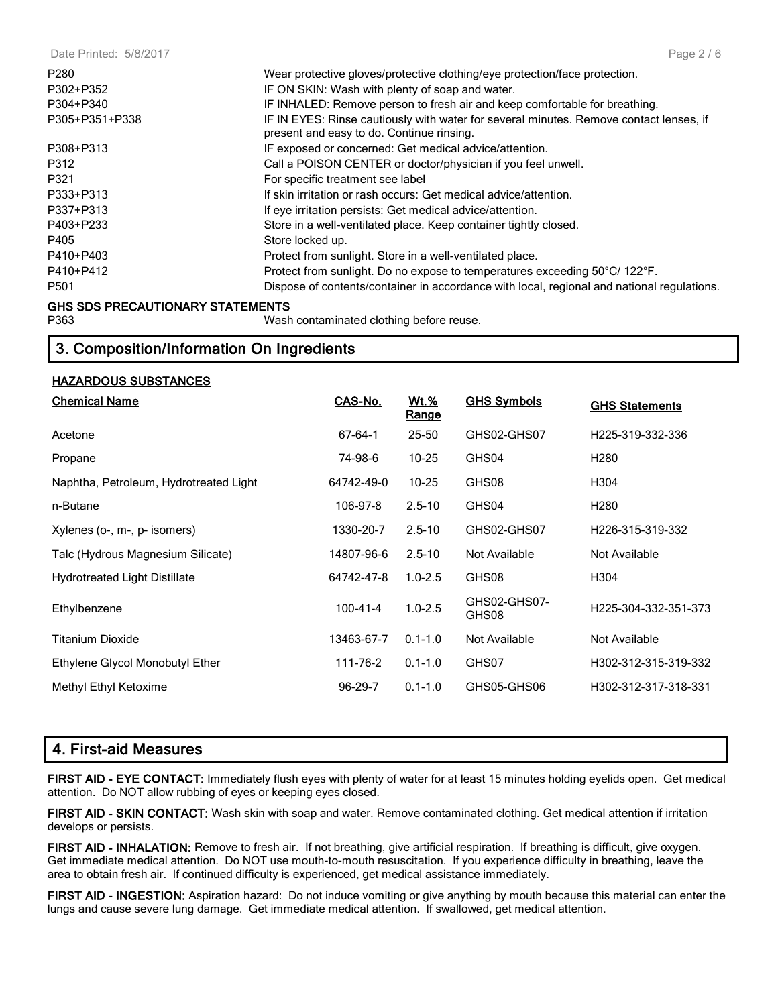| P280                                    | Wear protective gloves/protective clothing/eye protection/face protection.                                                          |
|-----------------------------------------|-------------------------------------------------------------------------------------------------------------------------------------|
| P302+P352                               | IF ON SKIN: Wash with plenty of soap and water.                                                                                     |
| P304+P340                               | IF INHALED: Remove person to fresh air and keep comfortable for breathing.                                                          |
| P305+P351+P338                          | IF IN EYES: Rinse cautiously with water for several minutes. Remove contact lenses, if<br>present and easy to do. Continue rinsing. |
| P308+P313                               | IF exposed or concerned: Get medical advice/attention.                                                                              |
| P312                                    | Call a POISON CENTER or doctor/physician if you feel unwell.                                                                        |
| P321                                    | For specific treatment see label                                                                                                    |
| P333+P313                               | If skin irritation or rash occurs: Get medical advice/attention.                                                                    |
| P337+P313                               | If eye irritation persists: Get medical advice/attention.                                                                           |
| P403+P233                               | Store in a well-ventilated place. Keep container tightly closed.                                                                    |
| P405                                    | Store locked up.                                                                                                                    |
| P410+P403                               | Protect from sunlight. Store in a well-ventilated place.                                                                            |
| P410+P412                               | Protect from sunlight. Do no expose to temperatures exceeding 50°C/ 122°F.                                                          |
| P501                                    | Dispose of contents/container in accordance with local, regional and national regulations.                                          |
| <b>GHS SDS PRECAUTIONARY STATEMENTS</b> |                                                                                                                                     |

P363 Wash contaminated clothing before reuse.

# **3. Composition/Information On Ingredients**

## **HAZARDOUS SUBSTANCES**

| <b>Chemical Name</b>                   | CAS-No.        | Wt.%<br><b>Range</b> | <b>GHS Symbols</b>    | <b>GHS Statements</b> |
|----------------------------------------|----------------|----------------------|-----------------------|-----------------------|
| Acetone                                | 67-64-1        | 25-50                | GHS02-GHS07           | H225-319-332-336      |
| Propane                                | 74-98-6        | $10 - 25$            | GHS04                 | H <sub>2</sub> 80     |
| Naphtha, Petroleum, Hydrotreated Light | 64742-49-0     | $10 - 25$            | GHS08                 | H304                  |
| n-Butane                               | 106-97-8       | $2.5 - 10$           | GHS04                 | H <sub>2</sub> 80     |
| Xylenes (o-, m-, p- isomers)           | 1330-20-7      | $2.5 - 10$           | GHS02-GHS07           | H226-315-319-332      |
| Talc (Hydrous Magnesium Silicate)      | 14807-96-6     | $2.5 - 10$           | Not Available         | Not Available         |
| <b>Hydrotreated Light Distillate</b>   | 64742-47-8     | $1.0 - 2.5$          | GHS08                 | H304                  |
| Ethylbenzene                           | $100 - 41 - 4$ | $1.0 - 2.5$          | GHS02-GHS07-<br>GHS08 | H225-304-332-351-373  |
| Titanium Dioxide                       | 13463-67-7     | $0.1 - 1.0$          | Not Available         | Not Available         |
| Ethylene Glycol Monobutyl Ether        | 111-76-2       | $0.1 - 1.0$          | GHS07                 | H302-312-315-319-332  |
| Methyl Ethyl Ketoxime                  | $96 - 29 - 7$  | $0.1 - 1.0$          | GHS05-GHS06           | H302-312-317-318-331  |

# **4. First-aid Measures**

**FIRST AID - EYE CONTACT:** Immediately flush eyes with plenty of water for at least 15 minutes holding eyelids open. Get medical attention. Do NOT allow rubbing of eyes or keeping eyes closed.

**FIRST AID - SKIN CONTACT:** Wash skin with soap and water. Remove contaminated clothing. Get medical attention if irritation develops or persists.

**FIRST AID - INHALATION:** Remove to fresh air. If not breathing, give artificial respiration. If breathing is difficult, give oxygen. Get immediate medical attention. Do NOT use mouth-to-mouth resuscitation. If you experience difficulty in breathing, leave the area to obtain fresh air. If continued difficulty is experienced, get medical assistance immediately.

**FIRST AID - INGESTION:** Aspiration hazard: Do not induce vomiting or give anything by mouth because this material can enter the lungs and cause severe lung damage. Get immediate medical attention. If swallowed, get medical attention.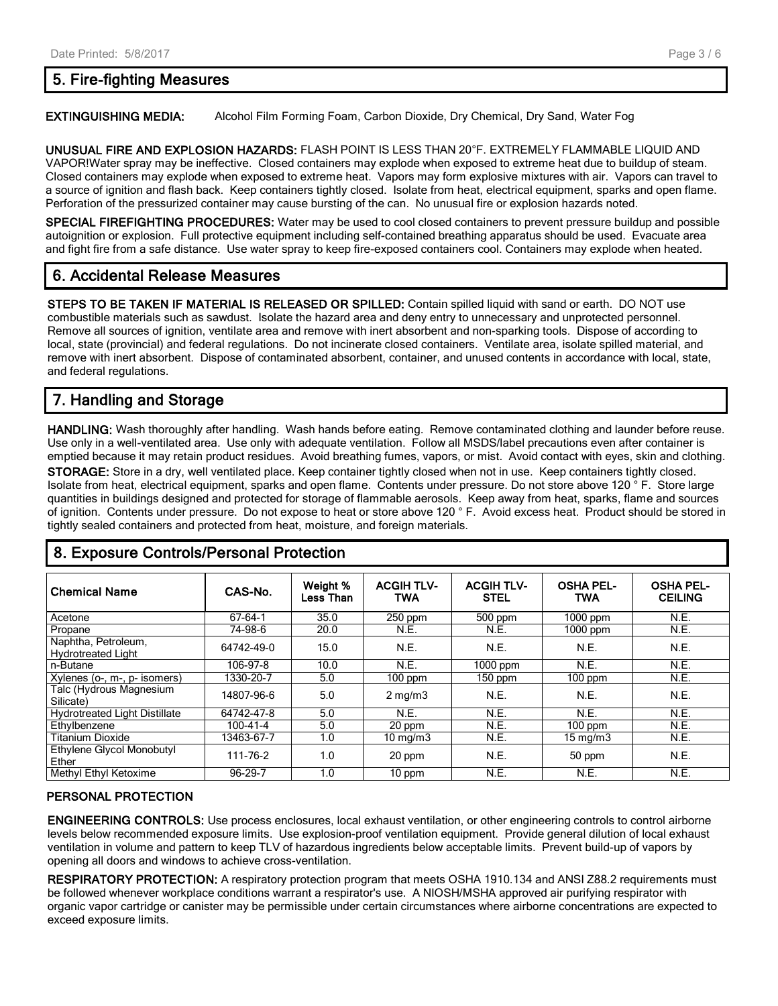#### Page 3 / 6

## **5. Fire-fighting Measures**

**EXTINGUISHING MEDIA:** Alcohol Film Forming Foam, Carbon Dioxide, Dry Chemical, Dry Sand, Water Fog

**UNUSUAL FIRE AND EXPLOSION HAZARDS:** FLASH POINT IS LESS THAN 20°F. EXTREMELY FLAMMABLE LIQUID AND VAPOR!Water spray may be ineffective. Closed containers may explode when exposed to extreme heat due to buildup of steam. Closed containers may explode when exposed to extreme heat. Vapors may form explosive mixtures with air. Vapors can travel to a source of ignition and flash back. Keep containers tightly closed. Isolate from heat, electrical equipment, sparks and open flame. Perforation of the pressurized container may cause bursting of the can. No unusual fire or explosion hazards noted.

**SPECIAL FIREFIGHTING PROCEDURES:** Water may be used to cool closed containers to prevent pressure buildup and possible autoignition or explosion. Full protective equipment including self-contained breathing apparatus should be used. Evacuate area and fight fire from a safe distance. Use water spray to keep fire-exposed containers cool. Containers may explode when heated.

# **6. Accidental Release Measures**

**STEPS TO BE TAKEN IF MATERIAL IS RELEASED OR SPILLED:** Contain spilled liquid with sand or earth. DO NOT use combustible materials such as sawdust. Isolate the hazard area and deny entry to unnecessary and unprotected personnel. Remove all sources of ignition, ventilate area and remove with inert absorbent and non-sparking tools. Dispose of according to local, state (provincial) and federal regulations. Do not incinerate closed containers. Ventilate area, isolate spilled material, and remove with inert absorbent. Dispose of contaminated absorbent, container, and unused contents in accordance with local, state, and federal regulations.

# **7. Handling and Storage**

**HANDLING:** Wash thoroughly after handling. Wash hands before eating. Remove contaminated clothing and launder before reuse. Use only in a well-ventilated area. Use only with adequate ventilation. Follow all MSDS/label precautions even after container is emptied because it may retain product residues. Avoid breathing fumes, vapors, or mist. Avoid contact with eyes, skin and clothing. **STORAGE:** Store in a dry, well ventilated place. Keep container tightly closed when not in use. Keep containers tightly closed. Isolate from heat, electrical equipment, sparks and open flame. Contents under pressure. Do not store above 120 ° F. Store large quantities in buildings designed and protected for storage of flammable aerosols. Keep away from heat, sparks, flame and sources of ignition. Contents under pressure. Do not expose to heat or store above 120 ° F. Avoid excess heat. Product should be stored in tightly sealed containers and protected from heat, moisture, and foreign materials.

| <b>Chemical Name</b>                             | CAS-No.    | Weight %<br><b>Less Than</b> | <b>ACGIH TLV-</b><br><b>TWA</b> | <b>ACGIH TLV-</b><br><b>STEL</b> | <b>OSHA PEL-</b><br><b>TWA</b> | <b>OSHA PEL-</b><br><b>CEILING</b> |
|--------------------------------------------------|------------|------------------------------|---------------------------------|----------------------------------|--------------------------------|------------------------------------|
| Acetone                                          | 67-64-1    | 35.0                         | $250$ ppm                       | 500 ppm                          | $1000$ ppm                     | N.E.                               |
| Propane                                          | 74-98-6    | 20.0                         | N.E.                            | N.E.                             | $1000$ ppm                     | N.E.                               |
| Naphtha, Petroleum,<br><b>Hydrotreated Light</b> | 64742-49-0 | 15.0                         | N.E.                            | N.E.                             | N.E.                           | N.E.                               |
| n-Butane                                         | 106-97-8   | 10.0                         | N.E.                            | $1000$ ppm                       | N.E.                           | N.E.                               |
| Xylenes (o-, m-, p- isomers)                     | 1330-20-7  | 5.0                          | $100$ ppm                       | $150$ ppm                        | $100$ ppm                      | N.E.                               |
| Talc (Hydrous Magnesium<br>Silicate)             | 14807-96-6 | 5.0                          | $2 \text{ mg/m}$                | N.E.                             | N.E.                           | N.E.                               |
| <b>Hydrotreated Light Distillate</b>             | 64742-47-8 | 5.0                          | N.E.                            | N.E.                             | N.E.                           | N.E.                               |
| Ethylbenzene                                     | 100-41-4   | 5.0                          | 20 ppm                          | N.E.                             | $100$ ppm                      | N.E.                               |
| <b>Titanium Dioxide</b>                          | 13463-67-7 | 1.0                          | $10 \text{ mg/m}$               | N.E.                             | $15 \text{ mg/m}$              | N.E.                               |
| Ethylene Glycol Monobutyl<br>Ether               | 111-76-2   | 1.0                          | 20 ppm                          | N.E.                             | 50 ppm                         | N.E.                               |
| Methyl Ethyl Ketoxime                            | 96-29-7    | 1.0                          | $10$ ppm                        | N.E.                             | N.E.                           | N.E.                               |

# **8. Exposure Controls/Personal Protection**

## **PERSONAL PROTECTION**

**ENGINEERING CONTROLS:** Use process enclosures, local exhaust ventilation, or other engineering controls to control airborne levels below recommended exposure limits. Use explosion-proof ventilation equipment. Provide general dilution of local exhaust ventilation in volume and pattern to keep TLV of hazardous ingredients below acceptable limits. Prevent build-up of vapors by opening all doors and windows to achieve cross-ventilation.

**RESPIRATORY PROTECTION:** A respiratory protection program that meets OSHA 1910.134 and ANSI Z88.2 requirements must be followed whenever workplace conditions warrant a respirator's use. A NIOSH/MSHA approved air purifying respirator with organic vapor cartridge or canister may be permissible under certain circumstances where airborne concentrations are expected to exceed exposure limits.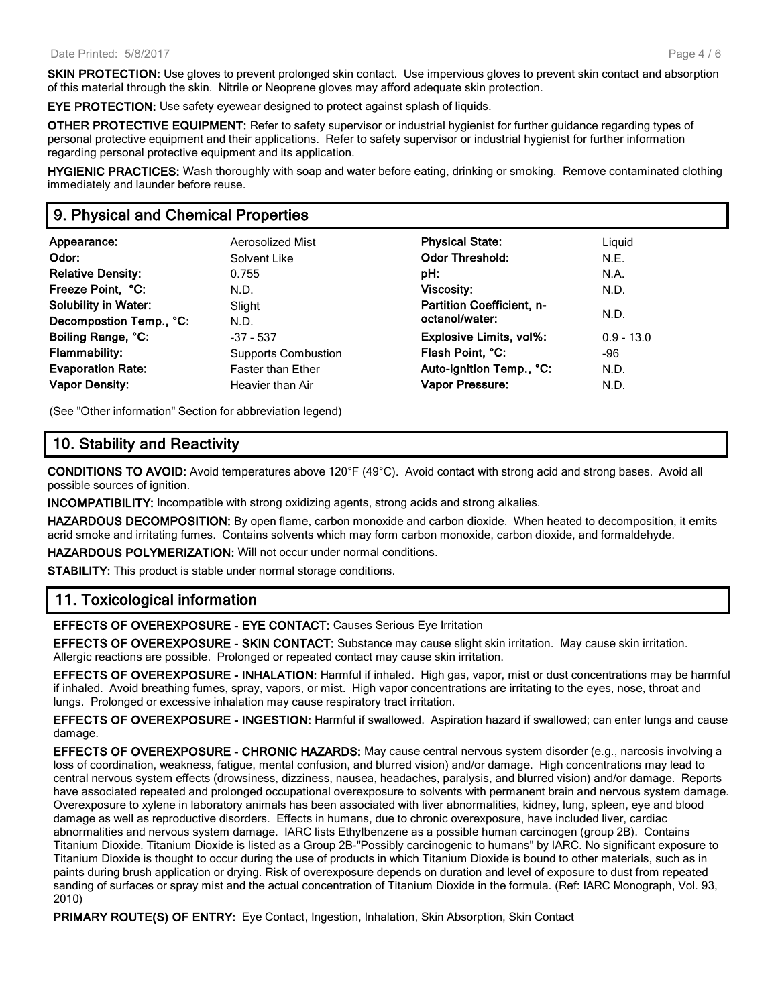**SKIN PROTECTION:** Use gloves to prevent prolonged skin contact. Use impervious gloves to prevent skin contact and absorption of this material through the skin. Nitrile or Neoprene gloves may afford adequate skin protection.

**EYE PROTECTION:** Use safety eyewear designed to protect against splash of liquids.

**OTHER PROTECTIVE EQUIPMENT:** Refer to safety supervisor or industrial hygienist for further guidance regarding types of personal protective equipment and their applications. Refer to safety supervisor or industrial hygienist for further information regarding personal protective equipment and its application.

**HYGIENIC PRACTICES:** Wash thoroughly with soap and water before eating, drinking or smoking. Remove contaminated clothing immediately and launder before reuse.

# **9. Physical and Chemical Properties**

| Appearance:                 | Aerosolized Mist    | <b>Physical State:</b>           | Liguid       |
|-----------------------------|---------------------|----------------------------------|--------------|
| Odor:                       | Solvent Like        | <b>Odor Threshold:</b>           | N.E.         |
| <b>Relative Density:</b>    | 0.755               | pH:                              | N.A.         |
| Freeze Point, °C:           | N.D.                | <b>Viscosity:</b>                | N.D.         |
| <b>Solubility in Water:</b> | Slight              | <b>Partition Coefficient, n-</b> | N.D.         |
| Decompostion Temp., °C:     | N.D.                | octanol/water:                   |              |
| Boiling Range, °C:          | $-37 - 537$         | <b>Explosive Limits, vol%:</b>   | $0.9 - 13.0$ |
| <b>Flammability:</b>        | Supports Combustion | Flash Point, °C:                 | -96          |
| <b>Evaporation Rate:</b>    | Faster than Ether   | Auto-ignition Temp., °C:         | N.D.         |
| <b>Vapor Density:</b>       | Heavier than Air    | Vapor Pressure:                  | N.D.         |

(See "Other information" Section for abbreviation legend)

# **10. Stability and Reactivity**

**CONDITIONS TO AVOID:** Avoid temperatures above 120°F (49°C). Avoid contact with strong acid and strong bases. Avoid all possible sources of ignition.

**INCOMPATIBILITY:** Incompatible with strong oxidizing agents, strong acids and strong alkalies.

**HAZARDOUS DECOMPOSITION:** By open flame, carbon monoxide and carbon dioxide. When heated to decomposition, it emits acrid smoke and irritating fumes. Contains solvents which may form carbon monoxide, carbon dioxide, and formaldehyde.

**HAZARDOUS POLYMERIZATION:** Will not occur under normal conditions.

**STABILITY:** This product is stable under normal storage conditions.

# **11. Toxicological information**

**EFFECTS OF OVEREXPOSURE - EYE CONTACT:** Causes Serious Eye Irritation

**EFFECTS OF OVEREXPOSURE - SKIN CONTACT:** Substance may cause slight skin irritation. May cause skin irritation. Allergic reactions are possible. Prolonged or repeated contact may cause skin irritation.

**EFFECTS OF OVEREXPOSURE - INHALATION:** Harmful if inhaled. High gas, vapor, mist or dust concentrations may be harmful if inhaled. Avoid breathing fumes, spray, vapors, or mist. High vapor concentrations are irritating to the eyes, nose, throat and lungs. Prolonged or excessive inhalation may cause respiratory tract irritation.

**EFFECTS OF OVEREXPOSURE - INGESTION:** Harmful if swallowed. Aspiration hazard if swallowed; can enter lungs and cause damage.

**EFFECTS OF OVEREXPOSURE - CHRONIC HAZARDS:** May cause central nervous system disorder (e.g., narcosis involving a loss of coordination, weakness, fatigue, mental confusion, and blurred vision) and/or damage. High concentrations may lead to central nervous system effects (drowsiness, dizziness, nausea, headaches, paralysis, and blurred vision) and/or damage. Reports have associated repeated and prolonged occupational overexposure to solvents with permanent brain and nervous system damage. Overexposure to xylene in laboratory animals has been associated with liver abnormalities, kidney, lung, spleen, eye and blood damage as well as reproductive disorders. Effects in humans, due to chronic overexposure, have included liver, cardiac abnormalities and nervous system damage. IARC lists Ethylbenzene as a possible human carcinogen (group 2B). Contains Titanium Dioxide. Titanium Dioxide is listed as a Group 2B-"Possibly carcinogenic to humans" by IARC. No significant exposure to Titanium Dioxide is thought to occur during the use of products in which Titanium Dioxide is bound to other materials, such as in paints during brush application or drying. Risk of overexposure depends on duration and level of exposure to dust from repeated sanding of surfaces or spray mist and the actual concentration of Titanium Dioxide in the formula. (Ref: IARC Monograph, Vol. 93, 2010)

**PRIMARY ROUTE(S) OF ENTRY:** Eye Contact, Ingestion, Inhalation, Skin Absorption, Skin Contact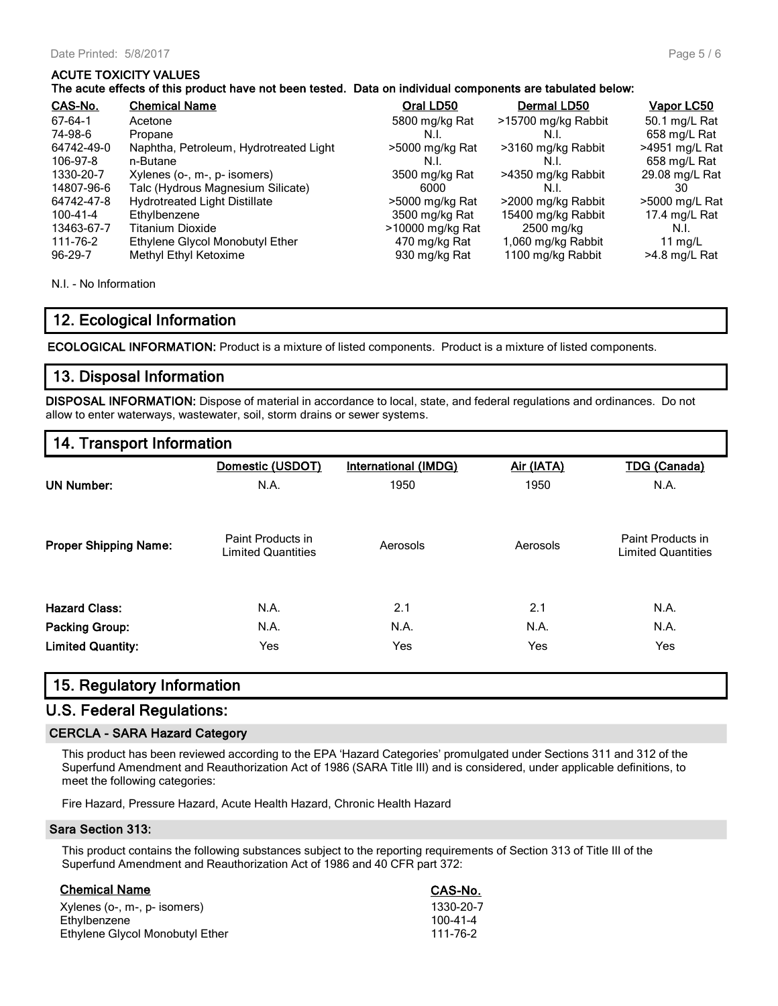## **ACUTE TOXICITY VALUES**

### **The acute effects of this product have not been tested. Data on individual components are tabulated below:**

| CAS-No.    | <b>Chemical Name</b>                   | Oral LD50        | <b>Dermal LD50</b>  | Vapor LC50      |
|------------|----------------------------------------|------------------|---------------------|-----------------|
| 67-64-1    | Acetone                                | 5800 mg/kg Rat   | >15700 mg/kg Rabbit | 50.1 mg/L Rat   |
| 74-98-6    | Propane                                | N.I.             | N.I.                | 658 mg/L Rat    |
| 64742-49-0 | Naphtha, Petroleum, Hydrotreated Light | >5000 mg/kg Rat  | >3160 mg/kg Rabbit  | >4951 mg/L Rat  |
| 106-97-8   | n-Butane                               | N.I.             | N.I.                | 658 mg/L Rat    |
| 1330-20-7  | Xylenes (o-, m-, p- isomers)           | 3500 mg/kg Rat   | >4350 mg/kg Rabbit  | 29.08 mg/L Rat  |
| 14807-96-6 | Talc (Hydrous Magnesium Silicate)      | 6000             | N.I.                | 30              |
| 64742-47-8 | <b>Hydrotreated Light Distillate</b>   | >5000 mg/kg Rat  | >2000 mg/kg Rabbit  | >5000 mg/L Rat  |
| 100-41-4   | Ethylbenzene                           | 3500 mg/kg Rat   | 15400 mg/kg Rabbit  | 17.4 mg/L Rat   |
| 13463-67-7 | Titanium Dioxide                       | >10000 mg/kg Rat | 2500 mg/kg          | N.I.            |
| 111-76-2   | Ethylene Glycol Monobutyl Ether        | 470 mg/kg Rat    | 1,060 mg/kg Rabbit  | 11 $mq/L$       |
| 96-29-7    | Methyl Ethyl Ketoxime                  | 930 mg/kg Rat    | 1100 mg/kg Rabbit   | $>4.8$ mg/L Rat |

N.I. - No Information

# **12. Ecological Information**

**ECOLOGICAL INFORMATION:** Product is a mixture of listed components. Product is a mixture of listed components.

## **13. Disposal Information**

**DISPOSAL INFORMATION:** Dispose of material in accordance to local, state, and federal regulations and ordinances. Do not allow to enter waterways, wastewater, soil, storm drains or sewer systems.

# **14. Transport Information**

|                              | Domestic (USDOT)                               | <b>International (IMDG)</b> | Air (IATA) | <b>TDG</b> (Canada)                            |
|------------------------------|------------------------------------------------|-----------------------------|------------|------------------------------------------------|
| <b>UN Number:</b>            | N.A.                                           | 1950                        | 1950       | N.A.                                           |
| <b>Proper Shipping Name:</b> | Paint Products in<br><b>Limited Quantities</b> | Aerosols                    | Aerosols   | Paint Products in<br><b>Limited Quantities</b> |
| <b>Hazard Class:</b>         | N.A.                                           | 2.1                         | 2.1        | N.A.                                           |
| <b>Packing Group:</b>        | N.A.                                           | N.A.                        | N.A.       | N.A.                                           |
| <b>Limited Quantity:</b>     | Yes                                            | Yes                         | Yes        | <b>Yes</b>                                     |

## **15. Regulatory Information**

# **U.S. Federal Regulations:**

## **CERCLA - SARA Hazard Category**

This product has been reviewed according to the EPA 'Hazard Categories' promulgated under Sections 311 and 312 of the Superfund Amendment and Reauthorization Act of 1986 (SARA Title III) and is considered, under applicable definitions, to meet the following categories:

Fire Hazard, Pressure Hazard, Acute Health Hazard, Chronic Health Hazard

#### **Sara Section 313:**

This product contains the following substances subject to the reporting requirements of Section 313 of Title III of the Superfund Amendment and Reauthorization Act of 1986 and 40 CFR part 372:

| <b>Chemical Name</b>            | CAS-No.        |
|---------------------------------|----------------|
| Xylenes (o-, m-, p- isomers)    | 1330-20-7      |
| Ethylbenzene                    | $100 - 41 - 4$ |
| Ethylene Glycol Monobutyl Ether | 111-76-2       |